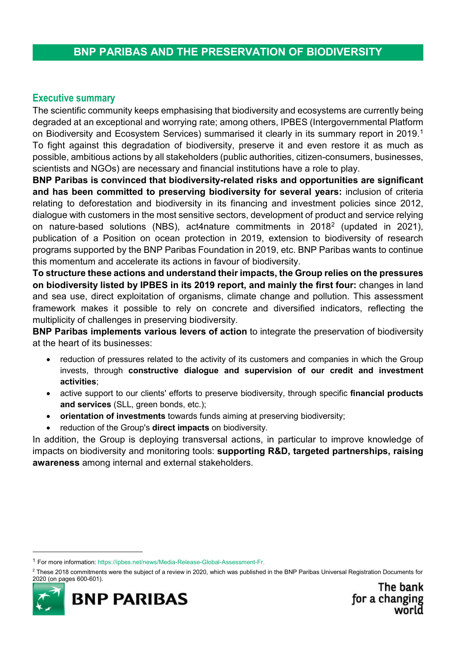## **BNP PARIBAS AND THE PRESERVATION OF BIODIVERSITY**

## **Executive summary**

The scientific community keeps emphasising that biodiversity and ecosystems are currently being degraded at an exceptional and worrying rate; among others, IPBES (Intergovernmental Platform on Biodiversity and Ecosystem Services) summarised it clearly in its summary report in 20[1](#page-0-0)9. $^{\text{1}}$ To fight against this degradation of biodiversity, preserve it and even restore it as much as possible, ambitious actions by all stakeholders (public authorities, citizen-consumers, businesses, scientists and NGOs) are necessary and financial institutions have a role to play.

**BNP Paribas is convinced that biodiversity-related risks and opportunities are significant and has been committed to preserving biodiversity for several years:** inclusion of criteria relating to deforestation and biodiversity in its financing and investment policies since 2012, dialogue with customers in the most sensitive sectors, development of product and service relying on nature-based solutions (NBS), act4nature commitments in 2018[2](#page-0-1) (updated in 2021), publication of a Position on ocean protection in 2019, extension to biodiversity of research programs supported by the BNP Paribas Foundation in 2019, etc. BNP Paribas wants to continue this momentum and accelerate its actions in favour of biodiversity.

**To structure these actions and understand their impacts, the Group relies on the pressures on biodiversity listed by IPBES in its 2019 report, and mainly the first four:** changes in land and sea use, direct exploitation of organisms, climate change and pollution. This assessment framework makes it possible to rely on concrete and diversified indicators, reflecting the multiplicity of challenges in preserving biodiversity.

**BNP Paribas implements various levers of action** to integrate the preservation of biodiversity at the heart of its businesses:

- reduction of pressures related to the activity of its customers and companies in which the Group invests, through **constructive dialogue and supervision of our credit and investment activities**;
- active support to our clients' efforts to preserve biodiversity, through specific **financial products and services** (SLL, green bonds, etc.);
- **orientation of investments** towards funds aiming at preserving biodiversity;
- reduction of the Group's **direct impacts** on biodiversity.

In addition, the Group is deploying transversal actions, in particular to improve knowledge of impacts on biodiversity and monitoring tools: **supporting R&D, targeted partnerships, raising awareness** among internal and external stakeholders.

<span id="page-0-1"></span> $2$  These 2018 commitments were the subject of a review in 2020, which was published in the BNP Paribas Universal Registration Documents for 2020 (on pages 600-601).



<span id="page-0-0"></span> <sup>1</sup> For more information[: https://ipbes.net/news/Media-Release-Global-Assessment-Fr.](https://ipbes.net/news/Media-Release-Global-Assessment-Fr)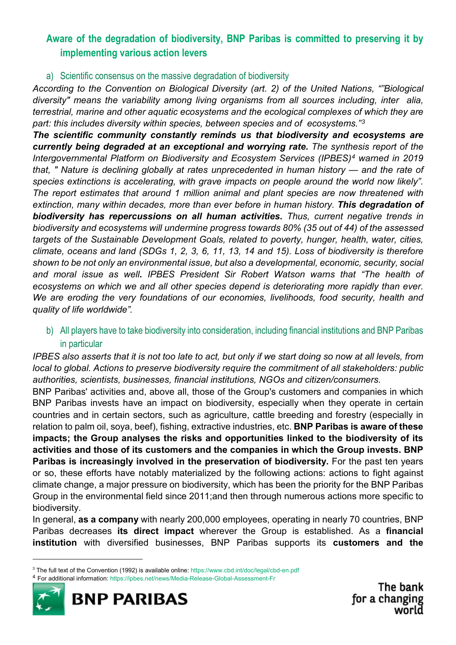# **Aware of the degradation of biodiversity, BNP Paribas is committed to preserving it by implementing various action levers**

## a) Scientific consensus on the massive degradation of biodiversity

*According to the Convention on Biological Diversity (art. 2) of the United Nations, ""Biological diversity" means the variability among living organisms from all sources including, inter alia, terrestrial, marine and other aquatic ecosystems and the ecological complexes of which they are part: this includes diversity within species, between species and of ecosystems."[3](#page-1-0)*

*The scientific community constantly reminds us that biodiversity and ecosystems are currently being degraded at an exceptional and worrying rate. The synthesis report of the Intergovernmental Platform on Biodiversity and Ecosystem Services (IPBES)[4](#page-1-1) warned in 2019 that, " Nature is declining globally at rates unprecedented in human history — and the rate of species extinctions is accelerating, with grave impacts on people around the world now likely". The report estimates that around 1 million animal and plant species are now threatened with*  extinction, many within decades, more than ever before in human history. **This degradation of** *biodiversity has repercussions on all human activities. Thus, current negative trends in biodiversity and ecosystems will undermine progress towards 80% (35 out of 44) of the assessed targets of the Sustainable Development Goals, related to poverty, hunger, health, water, cities, climate, oceans and land (SDGs 1, 2, 3, 6, 11, 13, 14 and 15). Loss of biodiversity is therefore shown to be not only an environmental issue, but also a developmental, economic, security, social and moral issue as well. IPBES President Sir Robert Watson warns that "The health of ecosystems on which we and all other species depend is deteriorating more rapidly than ever. We are eroding the very foundations of our economies, livelihoods, food security, health and quality of life worldwide".*

## b) All players have to take biodiversity into consideration, including financial institutions and BNP Paribas in particular

*IPBES also asserts that it is not too late to act, but only if we start doing so now at all levels, from local to global. Actions to preserve biodiversity require the commitment of all stakeholders: public authorities, scientists, businesses, financial institutions, NGOs and citizen/consumers.*

BNP Paribas' activities and, above all, those of the Group's customers and companies in which BNP Paribas invests have an impact on biodiversity, especially when they operate in certain countries and in certain sectors, such as agriculture, cattle breeding and forestry (especially in relation to palm oil, soya, beef), fishing, extractive industries, etc. **BNP Paribas is aware of these impacts; the Group analyses the risks and opportunities linked to the biodiversity of its activities and those of its customers and the companies in which the Group invests. BNP Paribas is increasingly involved in the preservation of biodiversity.** For the past ten years or so, these efforts have notably materialized by the following actions: actions to fight against climate change, a major pressure on biodiversity, which has been the priority for the BNP Paribas Group in the environmental field since 2011;and then through numerous actions more specific to biodiversity.

In general, **as a company** with nearly 200,000 employees, operating in nearly 70 countries, BNP Paribas decreases **its direct impact** wherever the Group is established. As a **financial institution** with diversified businesses, BNP Paribas supports its **customers and the** 

<span id="page-1-1"></span><sup>4</sup> For additional information[: https://ipbes.net/news/Media-Release-Global-Assessment-Fr](https://ipbes.net/news/Media-Release-Global-Assessment-Fr)



The bank for a changing world

<span id="page-1-0"></span> <sup>3</sup> The full text of the Convention (1992) is available online:<https://www.cbd.int/doc/legal/cbd-en.pdf>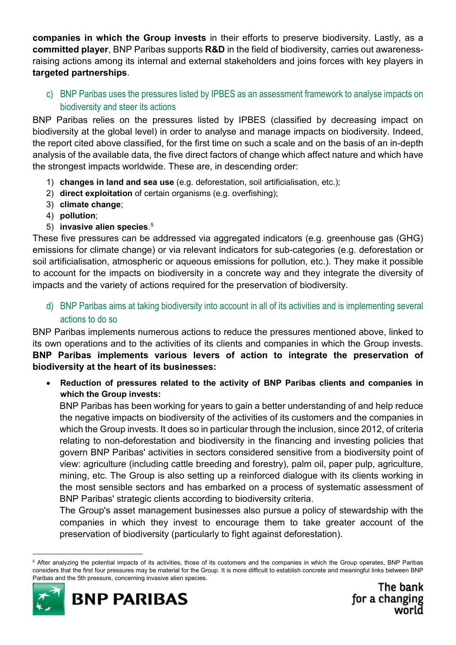**companies in which the Group invests** in their efforts to preserve biodiversity. Lastly, as a **committed player**, BNP Paribas supports **R&D** in the field of biodiversity, carries out awarenessraising actions among its internal and external stakeholders and joins forces with key players in **targeted partnerships**.

c) BNP Paribas uses the pressures listed by IPBES as an assessment framework to analyse impacts on biodiversity and steer its actions

BNP Paribas relies on the pressures listed by IPBES (classified by decreasing impact on biodiversity at the global level) in order to analyse and manage impacts on biodiversity. Indeed, the report cited above classified, for the first time on such a scale and on the basis of an in-depth analysis of the available data, the five direct factors of change which affect nature and which have the strongest impacts worldwide. These are, in descending order:

- 1) **changes in land and sea use** (e.g. deforestation, soil artificialisation, etc.);
- 2) **direct exploitation** of certain organisms (e.g. overfishing);
- 3) **climate change**;
- 4) **pollution**;
- 5) **invasive alien species**. [5](#page-2-0)

These five pressures can be addressed via aggregated indicators (e.g. greenhouse gas (GHG) emissions for climate change) or via relevant indicators for sub-categories (e.g. deforestation or soil artificialisation, atmospheric or aqueous emissions for pollution, etc.). They make it possible to account for the impacts on biodiversity in a concrete way and they integrate the diversity of impacts and the variety of actions required for the preservation of biodiversity.

d) BNP Paribas aims at taking biodiversity into account in all of its activities and is implementing several actions to do so

BNP Paribas implements numerous actions to reduce the pressures mentioned above, linked to its own operations and to the activities of its clients and companies in which the Group invests. **BNP Paribas implements various levers of action to integrate the preservation of biodiversity at the heart of its businesses:**

• **Reduction of pressures related to the activity of BNP Paribas clients and companies in which the Group invests:**

BNP Paribas has been working for years to gain a better understanding of and help reduce the negative impacts on biodiversity of the activities of its customers and the companies in which the Group invests. It does so in particular through the inclusion, since 2012, of criteria relating to non-deforestation and biodiversity in the financing and investing policies that govern BNP Paribas' activities in sectors considered sensitive from a biodiversity point of view: agriculture (including cattle breeding and forestry), palm oil, paper pulp, agriculture, mining, etc. The Group is also setting up a reinforced dialogue with its clients working in the most sensible sectors and has embarked on a process of systematic assessment of BNP Paribas' strategic clients according to biodiversity criteria.

The Group's asset management businesses also pursue a policy of stewardship with the companies in which they invest to encourage them to take greater account of the preservation of biodiversity (particularly to fight against deforestation).

<span id="page-2-0"></span> <sup>5</sup> After analyzing the potential impacts of its activities, those of its customers and the companies in which the Group operates, BNP Paribas considers that the first four pressures may be material for the Group. It is more difficult to establish concrete and meaningful links between BNP Paribas and the 5th pressure, concerning invasive alien species.

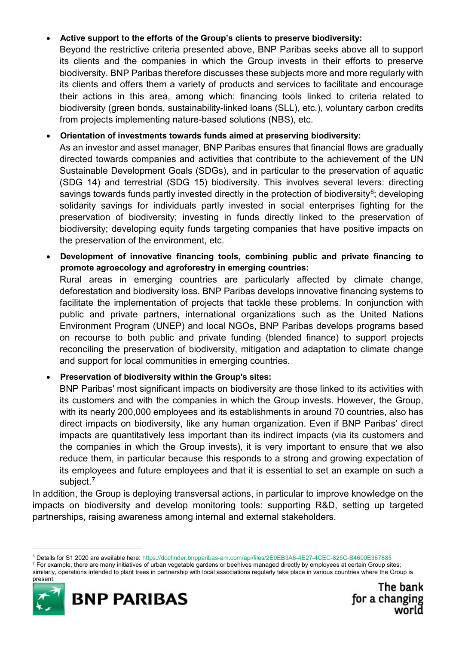## • **Active support to the efforts of the Group's clients to preserve biodiversity:**

Beyond the restrictive criteria presented above, BNP Paribas seeks above all to support its clients and the companies in which the Group invests in their efforts to preserve biodiversity. BNP Paribas therefore discusses these subjects more and more regularly with its clients and offers them a variety of products and services to facilitate and encourage their actions in this area, among which: financing tools linked to criteria related to biodiversity (green bonds, sustainability-linked loans (SLL), etc.), voluntary carbon credits from projects implementing nature-based solutions (NBS), etc.

### • **Orientation of investments towards funds aimed at preserving biodiversity:**

As an investor and asset manager, BNP Paribas ensures that financial flows are gradually directed towards companies and activities that contribute to the achievement of the UN Sustainable Development Goals (SDGs), and in particular to the preservation of aquatic (SDG 14) and terrestrial (SDG 15) biodiversity. This involves several levers: directing savings towards funds partly invested directly in the protection of biodiversity<sup>[6](#page-3-0)</sup>; developing solidarity savings for individuals partly invested in social enterprises fighting for the preservation of biodiversity; investing in funds directly linked to the preservation of biodiversity; developing equity funds targeting companies that have positive impacts on the preservation of the environment, etc.

• **Development of innovative financing tools, combining public and private financing to promote agroecology and agroforestry in emerging countries:**

Rural areas in emerging countries are particularly affected by climate change, deforestation and biodiversity loss. BNP Paribas develops innovative financing systems to facilitate the implementation of projects that tackle these problems. In conjunction with public and private partners, international organizations such as the United Nations Environment Program (UNEP) and local NGOs, BNP Paribas develops programs based on recourse to both public and private funding (blended finance) to support projects reconciling the preservation of biodiversity, mitigation and adaptation to climate change and support for local communities in emerging countries.

## • **Preservation of biodiversity within the Group's sites:**

BNP Paribas' most significant impacts on biodiversity are those linked to its activities with its customers and with the companies in which the Group invests. However, the Group, with its nearly 200,000 employees and its establishments in around 70 countries, also has direct impacts on biodiversity, like any human organization. Even if BNP Paribas' direct impacts are quantitatively less important than its indirect impacts (via its customers and the companies in which the Group invests), it is very important to ensure that we also reduce them, in particular because this responds to a strong and growing expectation of its employees and future employees and that it is essential to set an example on such a subject.<sup>[7](#page-3-1)</sup>

In addition, the Group is deploying transversal actions, in particular to improve knowledge on the impacts on biodiversity and develop monitoring tools: supporting R&D, setting up targeted partnerships, raising awareness among internal and external stakeholders.

<span id="page-3-1"></span><sup>7</sup> For example, there are many initiatives of urban vegetable gardens or beehives managed directly by employees at certain Group sites; similarly, operations intended to plant trees in partnership with local associations regularly take place in various countries where the Group is



present.



<span id="page-3-0"></span> <sup>6</sup> Details for S1 2020 are available here:<https://docfinder.bnpparibas-am.com/api/files/2E9EB3A6-4E27-4CEC-825C-B4600E367885>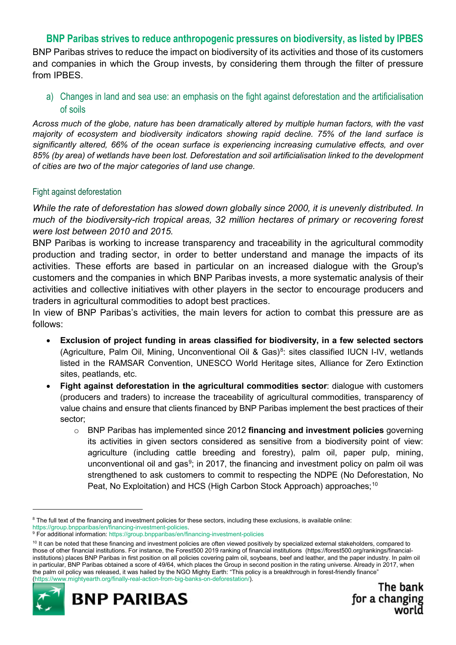## **BNP Paribas strives to reduce anthropogenic pressures on biodiversity, as listed by IPBES**

BNP Paribas strives to reduce the impact on biodiversity of its activities and those of its customers and companies in which the Group invests, by considering them through the filter of pressure from IPBES.

a) Changes in land and sea use: an emphasis on the fight against deforestation and the artificialisation of soils

*Across much of the globe, nature has been dramatically altered by multiple human factors, with the vast majority of ecosystem and biodiversity indicators showing rapid decline. 75% of the land surface is significantly altered, 66% of the ocean surface is experiencing increasing cumulative effects, and over 85% (by area) of wetlands have been lost. Deforestation and soil artificialisation linked to the development of cities are two of the major categories of land use change.*

#### Fight against deforestation

*While the rate of deforestation has slowed down globally since 2000, it is unevenly distributed. In much of the biodiversity-rich tropical areas, 32 million hectares of primary or recovering forest were lost between 2010 and 2015.*

BNP Paribas is working to increase transparency and traceability in the agricultural commodity production and trading sector, in order to better understand and manage the impacts of its activities. These efforts are based in particular on an increased dialogue with the Group's customers and the companies in which BNP Paribas invests, a more systematic analysis of their activities and collective initiatives with other players in the sector to encourage producers and traders in agricultural commodities to adopt best practices.

In view of BNP Paribas's activities, the main levers for action to combat this pressure are as follows:

- **Exclusion of project funding in areas classified for biodiversity, in a few selected sectors**  (Agriculture, Palm Oil, Mining, Unconventional Oil & Gas)<sup>[8](#page-4-0)</sup>: sites classified IUCN I-IV, wetlands listed in the RAMSAR Convention, UNESCO World Heritage sites, Alliance for Zero Extinction sites, peatlands, etc.
- **Fight against deforestation in the agricultural commodities sector**: dialogue with customers (producers and traders) to increase the traceability of agricultural commodities, transparency of value chains and ensure that clients financed by BNP Paribas implement the best practices of their sector;
	- o BNP Paribas has implemented since 2012 **financing and investment policies** governing its activities in given sectors considered as sensitive from a biodiversity point of view: agriculture (including cattle breeding and forestry), palm oil, paper pulp, mining, unconventional oil and gas<sup>[9](#page-4-1)</sup>; in 2017, the financing and investment policy on palm oil was strengthened to ask customers to commit to respecting the NDPE (No Deforestation, No Peat, No Exploitation) and HCS (High Carbon Stock Approach) approaches;<sup>[10](#page-4-2)</sup>

<span id="page-4-2"></span><span id="page-4-1"></span><sup>&</sup>lt;sup>10</sup> It can be noted that these financing and investment policies are often viewed positively by specialized external stakeholders, compared to those of other financial institutions. For instance, the Forest500 2019 ranking of financial institutions (https://forest500.org/rankings/financialinstitutions) places BNP Paribas in first position on all policies covering palm oil, soybeans, beef and leather, and the paper industry. In palm oil in particular, BNP Paribas obtained a score of 49/64, which places the Group in second position in the rating universe. Already in 2017, when the palm oil policy was released, it was hailed by the NGO Mighty Earth: "This policy is a breakthrough in forest-friendly finance" [\(https://www.mightyearth.org/finally-real-action-from-big-banks-on-deforestation/\)](https://www.mightyearth.org/finally-real-action-from-big-banks-on-deforestation/).





<span id="page-4-0"></span><sup>&</sup>lt;sup>8</sup> The full text of the financing and investment policies for these sectors, including these exclusions, is available online: [https://group.bnpparibas/en/financing-investment-policies.](https://group.bnpparibas/en/financing-investment-policies)

<sup>&</sup>lt;sup>9</sup> For additional information[: https://group.bnpparibas/en/financing-investment-policies](https://group.bnpparibas/en/financing-investment-policies)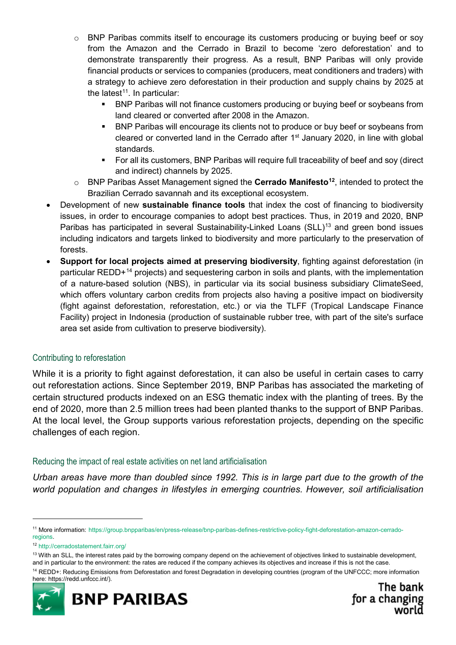- o BNP Paribas commits itself to encourage its customers producing or buying beef or soy from the Amazon and the Cerrado in Brazil to become 'zero deforestation' and to demonstrate transparently their progress. As a result, BNP Paribas will only provide financial products or services to companies (producers, meat conditioners and traders) with a strategy to achieve zero deforestation in their production and supply chains by 2025 at the latest<sup>[11](#page-5-0)</sup>. In particular:
	- BNP Paribas will not finance customers producing or buying beef or soybeans from land cleared or converted after 2008 in the Amazon.
	- BNP Paribas will encourage its clients not to produce or buy beef or soybeans from cleared or converted land in the Cerrado after 1<sup>st</sup> January 2020, in line with global standards.
	- **For all its customers, BNP Paribas will require full traceability of beef and soy (direct** and indirect) channels by 2025.
- o BNP Paribas Asset Management signed the **Cerrado Manifest[o12](#page-5-1)**, intended to protect the Brazilian Cerrado savannah and its exceptional ecosystem.
- Development of new **sustainable finance tools** that index the cost of financing to biodiversity issues, in order to encourage companies to adopt best practices. Thus, in 2019 and 2020, BNP Paribas has participated in several Sustainability-Linked Loans (SLL)<sup>[13](#page-5-2)</sup> and green bond issues including indicators and targets linked to biodiversity and more particularly to the preservation of forests.
- **Support for local projects aimed at preserving biodiversity**, fighting against deforestation (in particular REDD+[14](#page-5-3) projects) and sequestering carbon in soils and plants, with the implementation of a nature-based solution (NBS), in particular via its social business subsidiary ClimateSeed, which offers voluntary carbon credits from projects also having a positive impact on biodiversity (fight against deforestation, reforestation, etc.) or via the TLFF (Tropical Landscape Finance Facility) project in Indonesia (production of sustainable rubber tree, with part of the site's surface area set aside from cultivation to preserve biodiversity).

#### Contributing to reforestation

While it is a priority to fight against deforestation, it can also be useful in certain cases to carry out reforestation actions. Since September 2019, BNP Paribas has associated the marketing of certain structured products indexed on an ESG thematic index with the planting of trees. By the end of 2020, more than 2.5 million trees had been planted thanks to the support of BNP Paribas. At the local level, the Group supports various reforestation projects, depending on the specific challenges of each region.

#### Reducing the impact of real estate activities on net land artificialisation

*Urban areas have more than doubled since 1992. This is in large part due to the growth of the world population and changes in lifestyles in emerging countries. However, soil artificialisation* 

<span id="page-5-3"></span><sup>14</sup> REDD+: Reducing Emissions from Deforestation and forest Degradation in developing countries (program of the UNFCCC; more information here: https://redd.unfccc.int/).



<span id="page-5-0"></span> <sup>11</sup> More information: [https://group.bnpparibas/en/press-release/bnp-paribas-defines-restrictive-policy-fight-deforestation-amazon-cerrado](https://group.bnpparibas/en/press-release/bnp-paribas-defines-restrictive-policy-fight-deforestation-amazon-cerrado-regions)[regions.](https://group.bnpparibas/en/press-release/bnp-paribas-defines-restrictive-policy-fight-deforestation-amazon-cerrado-regions)

<span id="page-5-1"></span><sup>12</sup> <http://cerradostatement.fairr.org/>

<span id="page-5-2"></span><sup>&</sup>lt;sup>13</sup> With an SLL, the interest rates paid by the borrowing company depend on the achievement of objectives linked to sustainable development, and in particular to the environment: the rates are reduced if the company achieves its objectives and increase if this is not the case.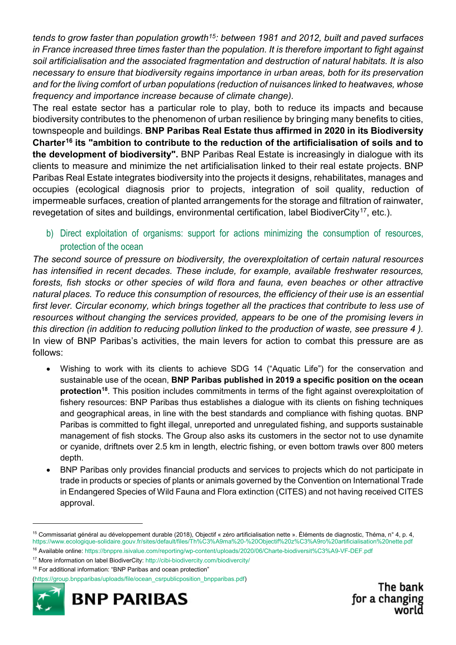*tends to grow faster than population growth[15:](#page-6-0) between 1981 and 2012, built and paved surfaces in France increased three times faster than the population. It is therefore important to fight against soil artificialisation and the associated fragmentation and destruction of natural habitats. It is also necessary to ensure that biodiversity regains importance in urban areas, both for its preservation and for the living comfort of urban populations (reduction of nuisances linked to heatwaves, whose frequency and importance increase because of climate change).*

The real estate sector has a particular role to play, both to reduce its impacts and because biodiversity contributes to the phenomenon of urban resilience by bringing many benefits to cities, townspeople and buildings. **BNP Paribas Real Estate thus affirmed in 2020 in its Biodiversity Charter[16](#page-6-1) its "ambition to contribute to the reduction of the artificialisation of soils and to the development of biodiversity".** BNP Paribas Real Estate is increasingly in dialogue with its clients to measure and minimize the net artificialisation linked to their real estate projects. BNP Paribas Real Estate integrates biodiversity into the projects it designs, rehabilitates, manages and occupies (ecological diagnosis prior to projects, integration of soil quality, reduction of impermeable surfaces, creation of planted arrangements for the storage and filtration of rainwater, revegetation of sites and buildings, environmental certification, label BiodiverCity<sup>17</sup>, etc.).

b) Direct exploitation of organisms: support for actions minimizing the consumption of resources, protection of the ocean

*The second source of pressure on biodiversity, the overexploitation of certain natural resources has intensified in recent decades. These include, for example, available freshwater resources, forests, fish stocks or other species of wild flora and fauna, even beaches or other attractive natural places. To reduce this consumption of resources, the efficiency of their use is an essential first lever. Circular economy, which brings together all the practices that contribute to less use of resources without changing the services provided, appears to be one of the promising levers in this direction (in addition to reducing pollution linked to the production of waste, see pressure 4 ).* In view of BNP Paribas's activities, the main levers for action to combat this pressure are as follows:

- Wishing to work with its clients to achieve SDG 14 ("Aquatic Life") for the conservation and sustainable use of the ocean, **BNP Paribas published in 2019 a specific position on the ocean protection[18](#page-6-3)**. This position includes commitments in terms of the fight against overexploitation of fishery resources: BNP Paribas thus establishes a dialogue with its clients on fishing techniques and geographical areas, in line with the best standards and compliance with fishing quotas. BNP Paribas is committed to fight illegal, unreported and unregulated fishing, and supports sustainable management of fish stocks. The Group also asks its customers in the sector not to use dynamite or cyanide, driftnets over 2.5 km in length, electric fishing, or even bottom trawls over 800 meters depth.
- BNP Paribas only provides financial products and services to projects which do not participate in trade in products or species of plants or animals governed by the Convention on International Trade in Endangered Species of Wild Fauna and Flora extinction (CITES) and not having received CITES approval.

[<sup>\(</sup>https://group.bnpparibas/uploads/file/ocean\\_csrpublicposition\\_bnpparibas.pdf\)](https://group.bnpparibas/uploads/file/ocean_csrpublicposition_bnpparibas.pdf)



<span id="page-6-0"></span> <sup>15</sup> Commissariat général au développement durable (2018), Objectif « zéro artificialisation nette ». Éléments de diagnostic, Théma, n° 4, p. 4, <https://www.ecologique-solidaire.gouv.fr/sites/default/files/Th%C3%A9ma%20-%20Objectif%20z%C3%A9ro%20artificialisation%20nette.pdf>

<span id="page-6-1"></span><sup>16</sup> Available online:<https://bnppre.isivalue.com/reporting/wp-content/uploads/2020/06/Charte-biodiversit%C3%A9-VF-DEF.pdf>

<span id="page-6-2"></span><sup>17</sup> More information on label BiodiverCity:<http://cibi-biodivercity.com/biodivercity/>

<span id="page-6-3"></span><sup>18</sup> For additional information: "BNP Paribas and ocean protection"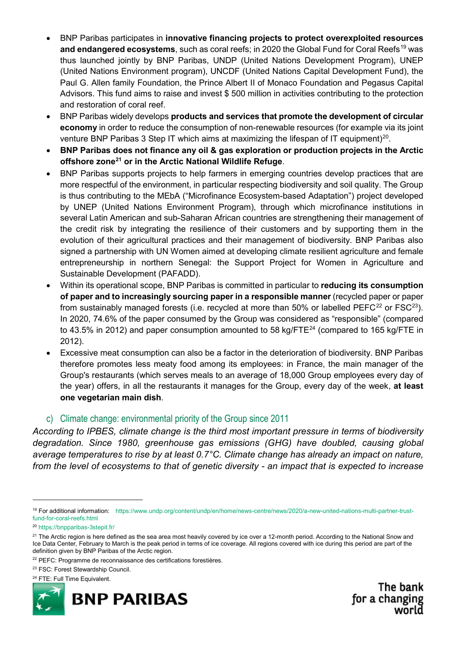- BNP Paribas participates in **innovative financing projects to protect overexploited resources and endangered ecosystems**, such as coral reefs; in 2020 the Global Fund for Coral Reefs<sup>[19](#page-7-0)</sup> was thus launched jointly by BNP Paribas, UNDP (United Nations Development Program), UNEP (United Nations Environment program), UNCDF (United Nations Capital Development Fund), the Paul G. Allen family Foundation, the Prince Albert II of Monaco Foundation and Pegasus Capital Advisors. This fund aims to raise and invest \$ 500 million in activities contributing to the protection and restoration of coral reef.
- BNP Paribas widely develops **products and services that promote the development of circular economy** in order to reduce the consumption of non-renewable resources (for example via its joint venture BNP Paribas 3 Step IT which aims at maximizing the lifespan of IT equipment)<sup>[20](#page-7-1)</sup>.
- **BNP Paribas does not finance any oil & gas exploration or production projects in the Arctic offshore zone[21](#page-7-2) or in the Arctic National Wildlife Refuge**.
- BNP Paribas supports projects to help farmers in emerging countries develop practices that are more respectful of the environment, in particular respecting biodiversity and soil quality. The Group is thus contributing to the MEbA ("Microfinance Ecosystem-based Adaptation") project developed by UNEP (United Nations Environment Program), through which microfinance institutions in several Latin American and sub-Saharan African countries are strengthening their management of the credit risk by integrating the resilience of their customers and by supporting them in the evolution of their agricultural practices and their management of biodiversity. BNP Paribas also signed a partnership with UN Women aimed at developing climate resilient agriculture and female entrepreneurship in northern Senegal: the Support Project for Women in Agriculture and Sustainable Development (PAFADD).
- Within its operational scope, BNP Paribas is committed in particular to **reducing its consumption of paper and to increasingly sourcing paper in a responsible manner** (recycled paper or paper from sustainably managed forests (i.e. recycled at more than 50% or labelled PEFC $^{22}$  $^{22}$  $^{22}$  or FSC $^{23}$ ). In 2020, 74.6% of the paper consumed by the Group was considered as "responsible" (compared to 43.5% in 2012) and paper consumption amounted to 58 kg/FTE $^{24}$  $^{24}$  $^{24}$  (compared to 165 kg/FTE in 2012).
- Excessive meat consumption can also be a factor in the deterioration of biodiversity. BNP Paribas therefore promotes less meaty food among its employees: in France, the main manager of the Group's restaurants (which serves meals to an average of 18,000 Group employees every day of the year) offers, in all the restaurants it manages for the Group, every day of the week, **at least one vegetarian main dish**.

## c) Climate change: environmental priority of the Group since 2011

*According to IPBES, climate change is the third most important pressure in terms of biodiversity degradation. Since 1980, greenhouse gas emissions (GHG) have doubled, causing global average temperatures to rise by at least 0.7°C. Climate change has already an impact on nature, from the level of ecosystems to that of genetic diversity - an impact that is expected to increase* 

<span id="page-7-4"></span><sup>23</sup> FSC: Forest Stewardship Council.

<sup>24</sup> FTE: Full Time Equivalent.

<span id="page-7-5"></span>

<span id="page-7-0"></span> <sup>19</sup> For additional information: [https://www.undp.org/content/undp/en/home/news-centre/news/2020/a-new-united-nations-multi-partner-trust](https://www.undp.org/content/undp/en/home/news-centre/news/2020/a-new-united-nations-multi-partner-trust-fund-for-coral-reefs.html)[fund-for-coral-reefs.html](https://www.undp.org/content/undp/en/home/news-centre/news/2020/a-new-united-nations-multi-partner-trust-fund-for-coral-reefs.html)

<span id="page-7-1"></span><sup>20</sup> <https://bnpparibas-3stepit.fr/>

<span id="page-7-2"></span><sup>&</sup>lt;sup>21</sup> The Arctic region is here defined as the sea area most heavily covered by ice over a 12-month period. According to the National Snow and Ice Data Center, February to March is the peak period in terms of ice coverage. All regions covered with ice during this period are part of the definition given by BNP Paribas of the Arctic region.

<span id="page-7-3"></span><sup>&</sup>lt;sup>22</sup> PEFC: Programme de reconnaissance des certifications forestières.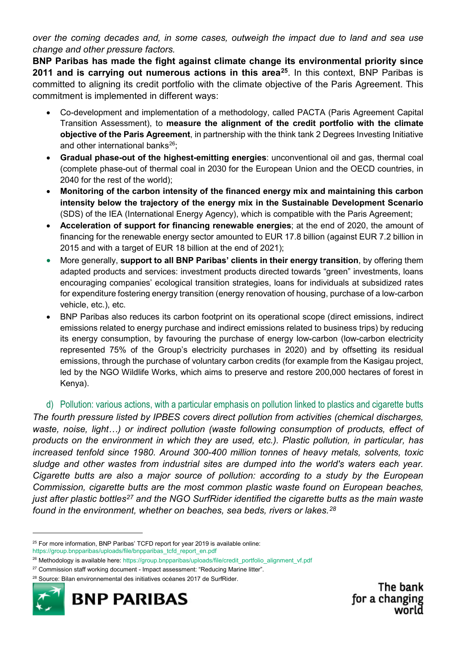*over the coming decades and, in some cases, outweigh the impact due to land and sea use change and other pressure factors.*

**BNP Paribas has made the fight against climate change its environmental priority since 2011 and is carrying out numerous actions in this area[25](#page-8-0)**. In this context, BNP Paribas is committed to aligning its credit portfolio with the climate objective of the Paris Agreement. This commitment is implemented in different ways:

- Co-development and implementation of a methodology, called PACTA (Paris Agreement Capital Transition Assessment), to **measure the alignment of the credit portfolio with the climate objective of the Paris Agreement**, in partnership with the think tank 2 Degrees Investing Initiative and other international banks $^{26}$ ;
- **Gradual phase-out of the highest-emitting energies**: unconventional oil and gas, thermal coal (complete phase-out of thermal coal in 2030 for the European Union and the OECD countries, in 2040 for the rest of the world);
- **Monitoring of the carbon intensity of the financed energy mix and maintaining this carbon intensity below the trajectory of the energy mix in the Sustainable Development Scenario** (SDS) of the IEA (International Energy Agency), which is compatible with the Paris Agreement;
- **Acceleration of support for financing renewable energies**; at the end of 2020, the amount of financing for the renewable energy sector amounted to EUR 17.8 billion (against EUR 7.2 billion in 2015 and with a target of EUR 18 billion at the end of 2021);
- More generally, **support to all BNP Paribas' clients in their energy transition**, by offering them adapted products and services: investment products directed towards "green" investments, loans encouraging companies' ecological transition strategies, loans for individuals at subsidized rates for expenditure fostering energy transition (energy renovation of housing, purchase of a low-carbon vehicle, etc.), etc.
- BNP Paribas also reduces its carbon footprint on its operational scope (direct emissions, indirect emissions related to energy purchase and indirect emissions related to business trips) by reducing its energy consumption, by favouring the purchase of energy low-carbon (low-carbon electricity represented 75% of the Group's electricity purchases in 2020) and by offsetting its residual emissions, through the purchase of voluntary carbon credits (for example from the Kasigau project, led by the NGO Wildlife Works, which aims to preserve and restore 200,000 hectares of forest in Kenya).

## d) Pollution: various actions, with a particular emphasis on pollution linked to plastics and cigarette butts

*The fourth pressure listed by IPBES covers direct pollution from activities (chemical discharges, waste, noise, light…) or indirect pollution (waste following consumption of products, effect of products on the environment in which they are used, etc.). Plastic pollution, in particular, has increased tenfold since 1980. Around 300-400 million tonnes of heavy metals, solvents, toxic sludge and other wastes from industrial sites are dumped into the world's waters each year. Cigarette butts are also a major source of pollution: according to a study by the European Commission, cigarette butts are the most common plastic waste found on European beaches, just after plastic bottles[27](#page-8-2) and the NGO SurfRider identified the cigarette butts as the main waste found in the environment, whether on beaches, sea beds, rivers or lakes.[28](#page-8-3)*

<span id="page-8-3"></span><sup>28</sup> Source: Bilan environnemental des initiatives océanes 2017 de SurfRider.



<span id="page-8-0"></span> $25$  For more information, BNP Paribas' TCFD report for year 2019 is available online: [https://group.bnpparibas/uploads/file/bnpparibas\\_tcfd\\_report\\_en.pdf](https://group.bnpparibas/uploads/file/bnpparibas_tcfd_report_en.pdf)

<span id="page-8-1"></span><sup>&</sup>lt;sup>26</sup> Methodology is available here[: https://group.bnpparibas/uploads/file/credit\\_portfolio\\_alignment\\_vf.pdf](https://group.bnpparibas/uploads/file/credit_portfolio_alignment_vf.pdf)

<span id="page-8-2"></span><sup>&</sup>lt;sup>27</sup> Commission staff working document - Impact assessment: "Reducing Marine litter".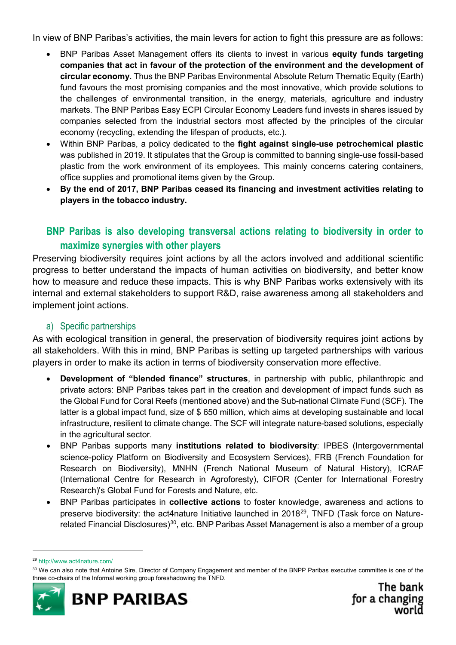In view of BNP Paribas's activities, the main levers for action to fight this pressure are as follows:

- BNP Paribas Asset Management offers its clients to invest in various **equity funds targeting companies that act in favour of the protection of the environment and the development of circular economy.** Thus the BNP Paribas Environmental Absolute Return Thematic Equity (Earth) fund favours the most promising companies and the most innovative, which provide solutions to the challenges of environmental transition, in the energy, materials, agriculture and industry markets. The BNP Paribas Easy ECPI Circular Economy Leaders fund invests in shares issued by companies selected from the industrial sectors most affected by the principles of the circular economy (recycling, extending the lifespan of products, etc.).
- Within BNP Paribas, a policy dedicated to the **fight against single-use petrochemical plastic** was published in 2019. It stipulates that the Group is committed to banning single-use fossil-based plastic from the work environment of its employees. This mainly concerns catering containers, office supplies and promotional items given by the Group.
- **By the end of 2017, BNP Paribas ceased its financing and investment activities relating to players in the tobacco industry.**

# **BNP Paribas is also developing transversal actions relating to biodiversity in order to maximize synergies with other players**

Preserving biodiversity requires joint actions by all the actors involved and additional scientific progress to better understand the impacts of human activities on biodiversity, and better know how to measure and reduce these impacts. This is why BNP Paribas works extensively with its internal and external stakeholders to support R&D, raise awareness among all stakeholders and implement joint actions.

## a) Specific partnerships

As with ecological transition in general, the preservation of biodiversity requires joint actions by all stakeholders. With this in mind, BNP Paribas is setting up targeted partnerships with various players in order to make its action in terms of biodiversity conservation more effective.

- **Development of "blended finance" structures**, in partnership with public, philanthropic and private actors: BNP Paribas takes part in the creation and development of impact funds such as the Global Fund for Coral Reefs (mentioned above) and the Sub-national Climate Fund (SCF). The latter is a global impact fund, size of \$ 650 million, which aims at developing sustainable and local infrastructure, resilient to climate change. The SCF will integrate nature-based solutions, especially in the agricultural sector.
- BNP Paribas supports many **institutions related to biodiversity**: IPBES (Intergovernmental science-policy Platform on Biodiversity and Ecosystem Services), FRB (French Foundation for Research on Biodiversity), MNHN (French National Museum of Natural History), ICRAF (International Centre for Research in Agroforesty), CIFOR (Center for International Forestry Research)'s Global Fund for Forests and Nature, etc.
- BNP Paribas participates in **collective actions** to foster knowledge, awareness and actions to preserve biodiversity: the act4nature Initiative launched in 2018<sup>[29](#page-9-0)</sup>, TNFD (Task force on Nature-related Financial Disclosures)<sup>[30](#page-9-1)</sup>, etc. BNP Paribas Asset Management is also a member of a group

<span id="page-9-1"></span><sup>&</sup>lt;sup>30</sup> We can also note that Antoine Sire, Director of Company Engagement and member of the BNPP Paribas executive committee is one of the three co-chairs of the Informal working group foreshadowing the TNFD.



<span id="page-9-0"></span> <sup>29</sup> <http://www.act4nature.com/>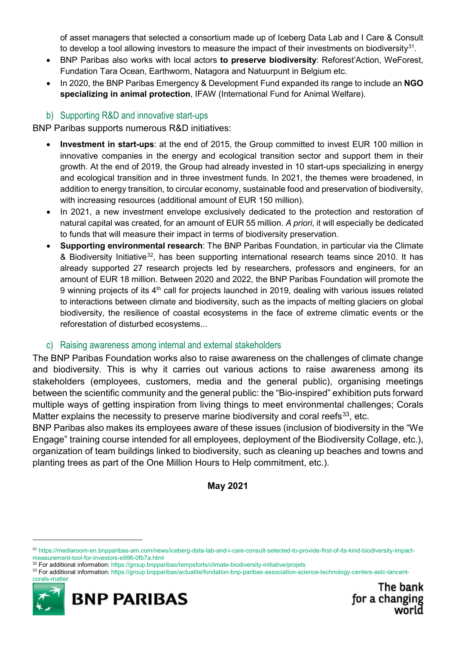of asset managers that selected a consortium made up of Iceberg Data Lab and I Care & Consult to develop a tool allowing investors to measure the impact of their investments on biodiversity $31$ .

- BNP Paribas also works with local actors **to preserve biodiversity**: Reforest'Action, WeForest, Fundation Tara Ocean, Earthworm, Natagora and Natuurpunt in Belgium etc.
- In 2020, the BNP Paribas Emergency & Development Fund expanded its range to include an **NGO specializing in animal protection**, IFAW (International Fund for Animal Welfare).

## b) Supporting R&D and innovative start-ups

BNP Paribas supports numerous R&D initiatives:

- **Investment in start-ups**: at the end of 2015, the Group committed to invest EUR 100 million in innovative companies in the energy and ecological transition sector and support them in their growth. At the end of 2019, the Group had already invested in 10 start-ups specializing in energy and ecological transition and in three investment funds. In 2021, the themes were broadened, in addition to energy transition, to circular economy, sustainable food and preservation of biodiversity, with increasing resources (additional amount of EUR 150 million).
- In 2021, a new investment envelope exclusively dedicated to the protection and restoration of natural capital was created, for an amount of EUR 55 million. *A priori*, it will especially be dedicated to funds that will measure their impact in terms of biodiversity preservation.
- **Supporting environmental research**: The BNP Paribas Foundation, in particular via the Climate & Biodiversity Initiative<sup>[32](#page-10-1)</sup>, has been supporting international research teams since 2010. It has already supported 27 research projects led by researchers, professors and engineers, for an amount of EUR 18 million. Between 2020 and 2022, the BNP Paribas Foundation will promote the 9 winning projects of its  $4<sup>th</sup>$  call for projects launched in 2019, dealing with various issues related to interactions between climate and biodiversity, such as the impacts of melting glaciers on global biodiversity, the resilience of coastal ecosystems in the face of extreme climatic events or the reforestation of disturbed ecosystems...

## c) Raising awareness among internal and external stakeholders

The BNP Paribas Foundation works also to raise awareness on the challenges of climate change and biodiversity. This is why it carries out various actions to raise awareness among its stakeholders (employees, customers, media and the general public), organising meetings between the scientific community and the general public: the "Bio-inspired" exhibition puts forward multiple ways of getting inspiration from living things to meet environmental challenges; Corals Matter explains the necessity to preserve marine biodiversity and coral reefs<sup>[33](#page-10-2)</sup>, etc.

BNP Paribas also makes its employees aware of these issues (inclusion of biodiversity in the "We Engage" training course intended for all employees, deployment of the Biodiversity Collage, etc.), organization of team buildings linked to biodiversity, such as cleaning up beaches and towns and planting trees as part of the One Million Hours to Help commitment, etc.).

## **May 2021**

<span id="page-10-2"></span><span id="page-10-1"></span><sup>33</sup> For additional information: [https://group.bnpparibas/actualite/fondation-bnp-paribas-association-science-technology-centers-astc-lancent](https://group.bnpparibas/actualite/fondation-bnp-paribas-association-science-technology-centers-astc-lancent-corals-matter)[corals-matter](https://group.bnpparibas/actualite/fondation-bnp-paribas-association-science-technology-centers-astc-lancent-corals-matter)



<span id="page-10-0"></span> <sup>31</sup> [https://mediaroom-en.bnpparibas-am.com/news/iceberg-data-lab-and-i-care-consult-selected-to-provide-first-of-its-kind-biodiversity-impact](https://mediaroom-en.bnpparibas-am.com/news/iceberg-data-lab-and-i-care-consult-selected-to-provide-first-of-its-kind-biodiversity-impact-measurement-tool-for-investors-e996-0fb7a.html)[measurement-tool-for-investors-e996-0fb7a.html](https://mediaroom-en.bnpparibas-am.com/news/iceberg-data-lab-and-i-care-consult-selected-to-provide-first-of-its-kind-biodiversity-impact-measurement-tool-for-investors-e996-0fb7a.html)

<sup>32</sup> For additional information:<https://group.bnpparibas/tempsforts/climate-biodiversity-initiative/projets>